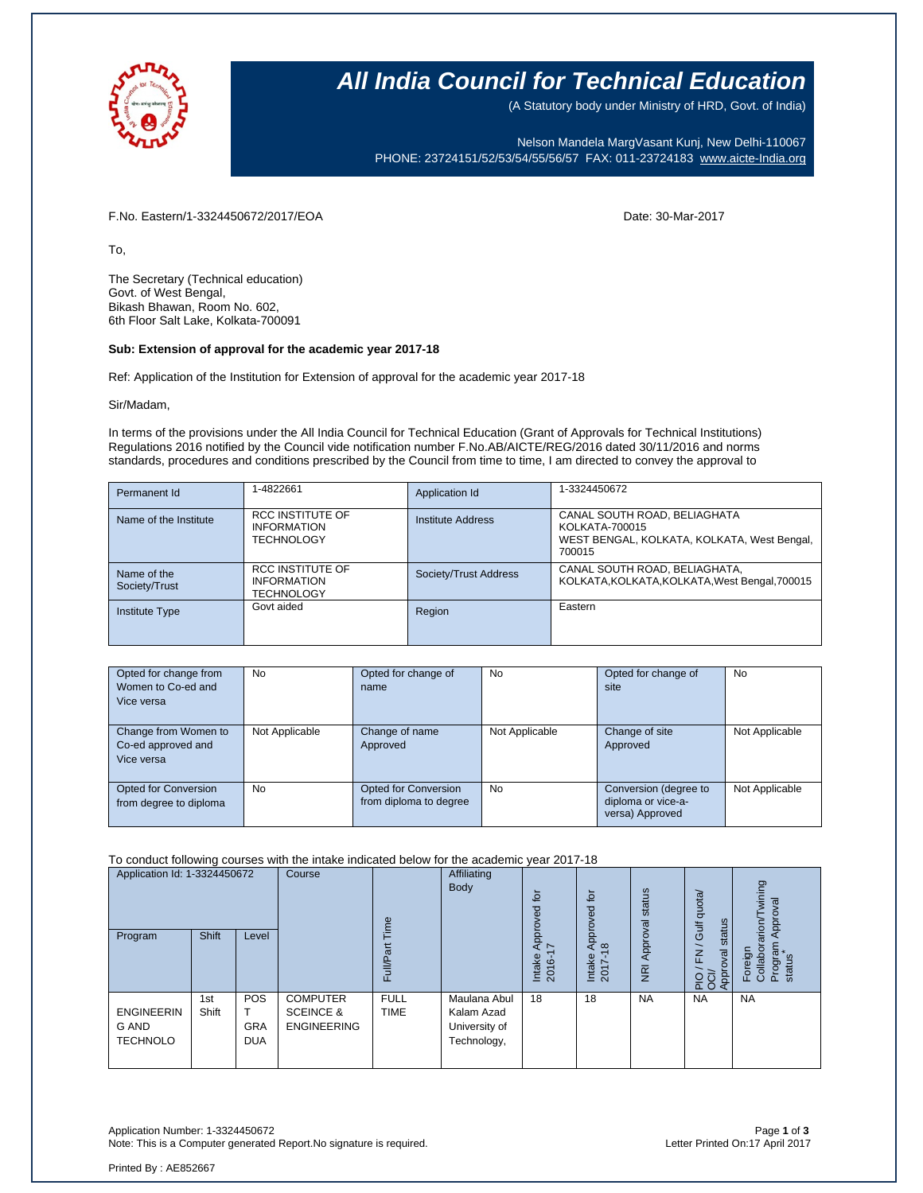

## **All India Council for Technical Education**

(A Statutory body under Ministry of HRD, Govt. of India)

Nelson Mandela MargVasant Kunj, New Delhi-110067 PHONE: 23724151/52/53/54/55/56/57 FAX: 011-23724183 [www.aicte-India.org](http://www.aicte-india.org/)

F.No. Eastern/1-3324450672/2017/EOA Date: 30-Mar-2017

To,

The Secretary (Technical education) Govt. of West Bengal, Bikash Bhawan, Room No. 602, 6th Floor Salt Lake, Kolkata-700091

### **Sub: Extension of approval for the academic year 2017-18**

Ref: Application of the Institution for Extension of approval for the academic year 2017-18

Sir/Madam,

In terms of the provisions under the All India Council for Technical Education (Grant of Approvals for Technical Institutions) Regulations 2016 notified by the Council vide notification number F.No.AB/AICTE/REG/2016 dated 30/11/2016 and norms standards, procedures and conditions prescribed by the Council from time to time, I am directed to convey the approval to

| Permanent Id                 | 1-4822661                                                          | Application Id        | 1-3324450672                                                                                            |
|------------------------------|--------------------------------------------------------------------|-----------------------|---------------------------------------------------------------------------------------------------------|
| Name of the Institute        | <b>RCC INSTITUTE OF</b><br><b>INFORMATION</b><br><b>TECHNOLOGY</b> | Institute Address     | CANAL SOUTH ROAD, BELIAGHATA<br>KOLKATA-700015<br>WEST BENGAL, KOLKATA, KOLKATA, West Bengal,<br>700015 |
| Name of the<br>Society/Trust | RCC INSTITUTE OF<br><b>INFORMATION</b><br><b>TECHNOLOGY</b>        | Society/Trust Address | CANAL SOUTH ROAD, BELIAGHATA,<br>KOLKATA, KOLKATA, KOLKATA, West Bengal, 700015                         |
| <b>Institute Type</b>        | Govt aided                                                         | Region                | Eastern                                                                                                 |

| Opted for change from<br>Women to Co-ed and<br>Vice versa | No             | Opted for change of<br>name                    | No             | Opted for change of<br>site                                    | No             |
|-----------------------------------------------------------|----------------|------------------------------------------------|----------------|----------------------------------------------------------------|----------------|
| Change from Women to<br>Co-ed approved and<br>Vice versa  | Not Applicable | Change of name<br>Approved                     | Not Applicable | Change of site<br>Approved                                     | Not Applicable |
| Opted for Conversion<br>from degree to diploma            | No             | Opted for Conversion<br>from diploma to degree | No             | Conversion (degree to<br>diploma or vice-a-<br>versa) Approved | Not Applicable |

#### To conduct following courses with the intake indicated below for the academic year 2017-18

| Application Id: 1-3324450672<br>Program              | <b>Shift</b> | Level                                  | Course                                                        | ime<br>ಹ<br>Full           | Affiliating<br><b>Body</b>                                 | $\overline{5}$<br>요<br>Appro <sup>,</sup><br>∼<br>Intake<br>2016 | tor<br>Approved<br>$\frac{\infty}{2}$<br>Intake<br>2017- | status<br>NRI Approval | Gulf quota/<br>status<br>$\overline{\phantom{0}}$<br>$\overline{F}$<br>ख़<br><b>Approv</b><br>운항 | wining<br><b>Robudd</b><br>Foreign<br>Collaborarion/T<br>Program<br>status |
|------------------------------------------------------|--------------|----------------------------------------|---------------------------------------------------------------|----------------------------|------------------------------------------------------------|------------------------------------------------------------------|----------------------------------------------------------|------------------------|--------------------------------------------------------------------------------------------------|----------------------------------------------------------------------------|
| <b>ENGINEERIN</b><br><b>G AND</b><br><b>TECHNOLO</b> | 1st<br>Shift | <b>POS</b><br><b>GRA</b><br><b>DUA</b> | <b>COMPUTER</b><br><b>SCEINCE &amp;</b><br><b>ENGINEERING</b> | <b>FULL</b><br><b>TIME</b> | Maulana Abul<br>Kalam Azad<br>University of<br>Technology, | 18                                                               | 18                                                       | <b>NA</b>              | <b>NA</b>                                                                                        | <b>NA</b>                                                                  |

Application Number: 1-3324450672 Page **1** of **3** Note: This is a Computer generated Report.No signature is required.

Printed By : AE852667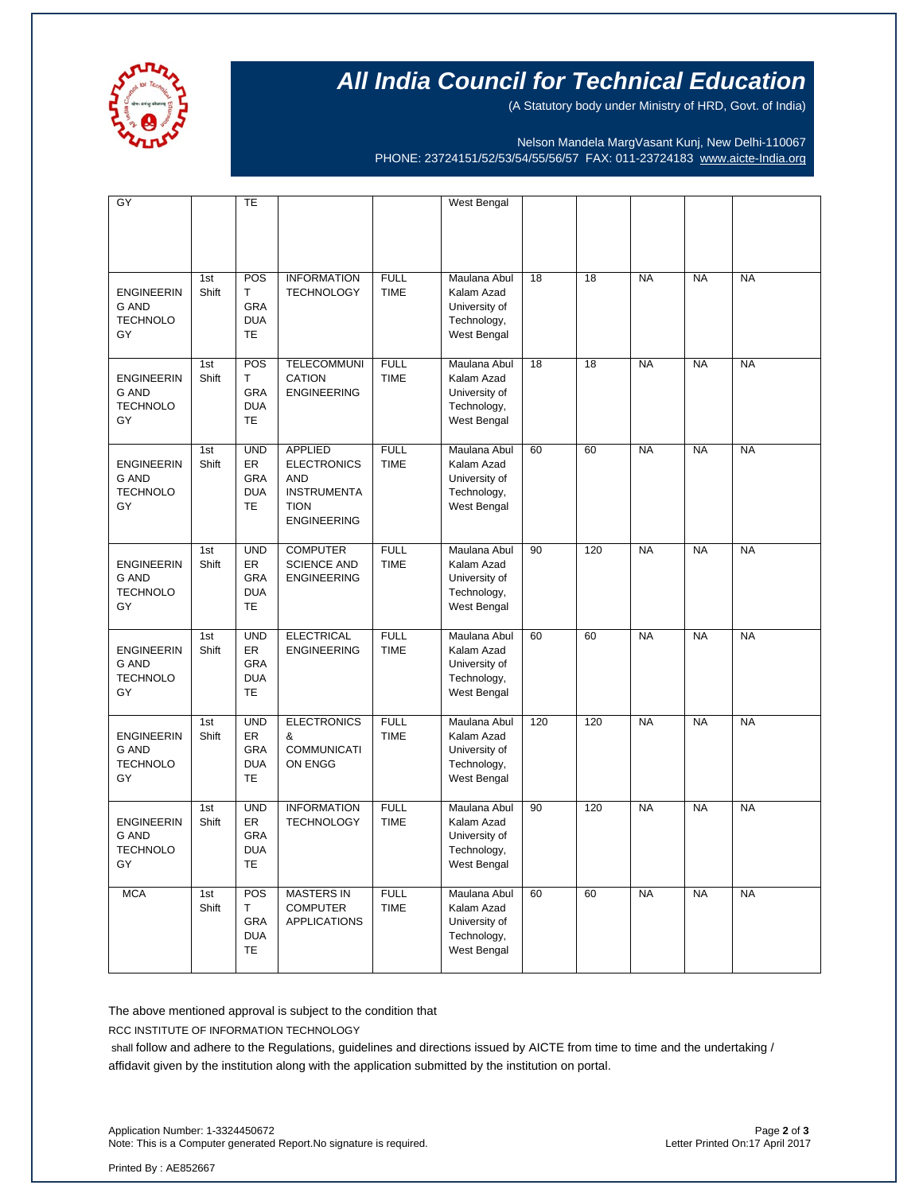

# **All India Council for Technical Education**

(A Statutory body under Ministry of HRD, Govt. of India)

Nelson Mandela MargVasant Kunj, New Delhi-110067 PHONE: 23724151/52/53/54/55/56/57 FAX: 011-23724183 [www.aicte-India.org](http://www.aicte-india.org/)

| GY                                                         |              | TE                                                               |                                                                                                               |                            |                                                                           |                 |                 |           |           |           |
|------------------------------------------------------------|--------------|------------------------------------------------------------------|---------------------------------------------------------------------------------------------------------------|----------------------------|---------------------------------------------------------------------------|-----------------|-----------------|-----------|-----------|-----------|
|                                                            |              |                                                                  |                                                                                                               |                            | West Bengal                                                               |                 |                 |           |           |           |
| <b>ENGINEERIN</b><br><b>G AND</b><br><b>TECHNOLO</b><br>GY | 1st<br>Shift | POS<br>T<br>GRA<br><b>DUA</b><br>TE                              | <b>INFORMATION</b><br><b>TECHNOLOGY</b>                                                                       | <b>FULL</b><br><b>TIME</b> | Maulana Abul<br>Kalam Azad<br>University of<br>Technology,<br>West Bengal | $\overline{18}$ | $\overline{18}$ | <b>NA</b> | <b>NA</b> | <b>NA</b> |
| <b>ENGINEERIN</b><br><b>G AND</b><br><b>TECHNOLO</b><br>GY | 1st<br>Shift | POS<br>T<br>GRA<br><b>DUA</b><br><b>TE</b>                       | <b>TELECOMMUNI</b><br>CATION<br><b>ENGINEERING</b>                                                            | <b>FULL</b><br><b>TIME</b> | Maulana Abul<br>Kalam Azad<br>University of<br>Technology,<br>West Bengal | 18              | 18              | <b>NA</b> | <b>NA</b> | <b>NA</b> |
| <b>ENGINEERIN</b><br><b>G AND</b><br><b>TECHNOLO</b><br>GY | 1st<br>Shift | <b>UND</b><br><b>ER</b><br><b>GRA</b><br><b>DUA</b><br><b>TE</b> | <b>APPLIED</b><br><b>ELECTRONICS</b><br><b>AND</b><br><b>INSTRUMENTA</b><br><b>TION</b><br><b>ENGINEERING</b> | <b>FULL</b><br><b>TIME</b> | Maulana Abul<br>Kalam Azad<br>University of<br>Technology,<br>West Bengal | 60              | 60              | <b>NA</b> | <b>NA</b> | <b>NA</b> |
| <b>ENGINEERIN</b><br><b>G AND</b><br><b>TECHNOLO</b><br>GY | 1st<br>Shift | <b>UND</b><br><b>ER</b><br><b>GRA</b><br><b>DUA</b><br><b>TE</b> | <b>COMPUTER</b><br><b>SCIENCE AND</b><br><b>ENGINEERING</b>                                                   | <b>FULL</b><br><b>TIME</b> | Maulana Abul<br>Kalam Azad<br>University of<br>Technology,<br>West Bengal | 90              | 120             | <b>NA</b> | <b>NA</b> | <b>NA</b> |
| <b>ENGINEERIN</b><br><b>G AND</b><br><b>TECHNOLO</b><br>GY | 1st<br>Shift | <b>UND</b><br><b>ER</b><br>GRA<br><b>DUA</b><br><b>TE</b>        | <b>ELECTRICAL</b><br><b>ENGINEERING</b>                                                                       | <b>FULL</b><br><b>TIME</b> | Maulana Abul<br>Kalam Azad<br>University of<br>Technology,<br>West Bengal | 60              | 60              | <b>NA</b> | <b>NA</b> | <b>NA</b> |
| <b>ENGINEERIN</b><br><b>G AND</b><br><b>TECHNOLO</b><br>GY | 1st<br>Shift | <b>UND</b><br>ER<br><b>GRA</b><br><b>DUA</b><br><b>TE</b>        | <b>ELECTRONICS</b><br>&<br><b>COMMUNICATI</b><br>ON ENGG                                                      | <b>FULL</b><br><b>TIME</b> | Maulana Abul<br>Kalam Azad<br>University of<br>Technology,<br>West Bengal | 120             | 120             | <b>NA</b> | <b>NA</b> | <b>NA</b> |
| <b>ENGINEERIN</b><br><b>G AND</b><br><b>TECHNOLO</b><br>GY | 1st<br>Shift | <b>UND</b><br>ER<br><b>GRA</b><br><b>DUA</b><br><b>TE</b>        | <b>INFORMATION</b><br><b>TECHNOLOGY</b>                                                                       | <b>FULL</b><br><b>TIME</b> | Maulana Abul<br>Kalam Azad<br>University of<br>Technology,<br>West Bengal | 90              | 120             | <b>NA</b> | <b>NA</b> | <b>NA</b> |
| <b>MCA</b>                                                 | 1st<br>Shift | POS<br>T.<br>GRA<br><b>DUA</b><br><b>TE</b>                      | <b>MASTERS IN</b><br><b>COMPUTER</b><br><b>APPLICATIONS</b>                                                   | <b>FULL</b><br><b>TIME</b> | Maulana Abul<br>Kalam Azad<br>University of<br>Technology,<br>West Bengal | 60              | 60              | <b>NA</b> | <b>NA</b> | <b>NA</b> |

The above mentioned approval is subject to the condition that

RCC INSTITUTE OF INFORMATION TECHNOLOGY

shall follow and adhere to the Regulations, guidelines and directions issued by AICTE from time to time and the undertaking / affidavit given by the institution along with the application submitted by the institution on portal.